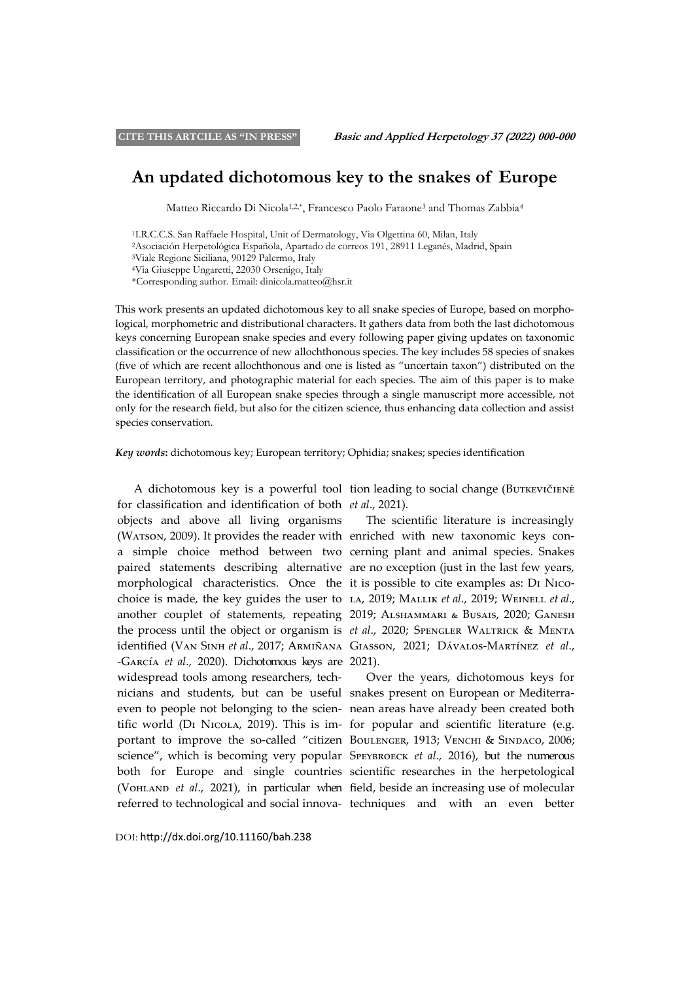# **An updated dichotomous key to the snakes of Europe**

Matteo Riccardo Di Nicola<sup>1,2,\*</sup>, Francesco Paolo Faraone<sup>3</sup> and Thomas Zabbia<sup>4</sup>

<sup>1</sup>I.R.C.C.S. San Raffaele Hospital, Unit of Dermatology, Via Olgettina 60, Milan, Italy

<sup>2</sup>Asociación Herpetológica Española, Apartado de correos 191, 28911 Leganés, Madrid, Spain

<sup>3</sup>Viale Regione Siciliana, 90129 Palermo, Italy

<sup>4</sup>Via Giuseppe Ungaretti, 22030 Orsenigo, Italy

\*Corresponding author. Email: dinicola.matteo@hsr.it

This work presents an updated dichotomous key to all snake species of Europe, based on morphological, morphometric and distributional characters. It gathers data from both the last dichotomous keys concerning European snake species and every following paper giving updates on taxonomic classification or the occurrence of new allochthonous species. The key includes 58 species of snakes (five of which are recent allochthonous and one is listed as "uncertain taxon") distributed on the European territory, and photographic material for each species. The aim of this paper is to make the identification of all European snake species through a single manuscript more accessible, not only for the research field, but also for the citizen science, thus enhancing data collection and assist species conservation.

*Key words***:** dichotomous key; European territory; Ophidia; snakes; species identification

for classification and identification of both *et al*., 2021). objects and above all living organisms (WATSON, 2009). It provides the reader with enriched with new taxonomic keys cona simple choice method between two cerning plant and animal species. Snakes paired statements describing alternative are no exception (just in the last few years, morphological characteristics. Once the it is possible to cite examples as: Di Nicochoice is made, the key guides the user to la, 2019; Mallik *et al*., 2019; Weinell *et al*., another couplet of statements, repeating 2019; Alshammari & Busais, 2020; Ganesh the process until the object or organism is *et al.*, 2020; SPENGLER WALTRICK & MENTA identified (Van Sinh *et al*., 2017; Armiñana Giasson, 2021; Dávalos-Martínez *et al*., -García *et al*., 2020). Dichotomous keys are 2021). widespread tools among researchers, technicians and students, but can be useful snakes present on European or Mediterraeven to people not belonging to the scien-nean areas have already been created both tific world (Di Nicola, 2019). This is im-for popular and scientific literature (e.g. portant to improve the so-called "citizen Boulenger, 1913; Venchi & Sindaco, 2006; science", which is becoming very popular SPEYBROECK *et al.*, 2016), but the numerous both for Europe and single countries scientific researches in the herpetological (Vo<sub>HLAND</sub> *et al.*, 2021), in particular when field, beside an increasing use of molecular referred to technological and social innova-techniques and with an even better

A dichotomous key is a powerful tool tion leading to social change (Butkevičienė

The scientific literature is increasingly

Over the years, dichotomous keys for

DOI: http://dx.doi.org/10.11160/bah.238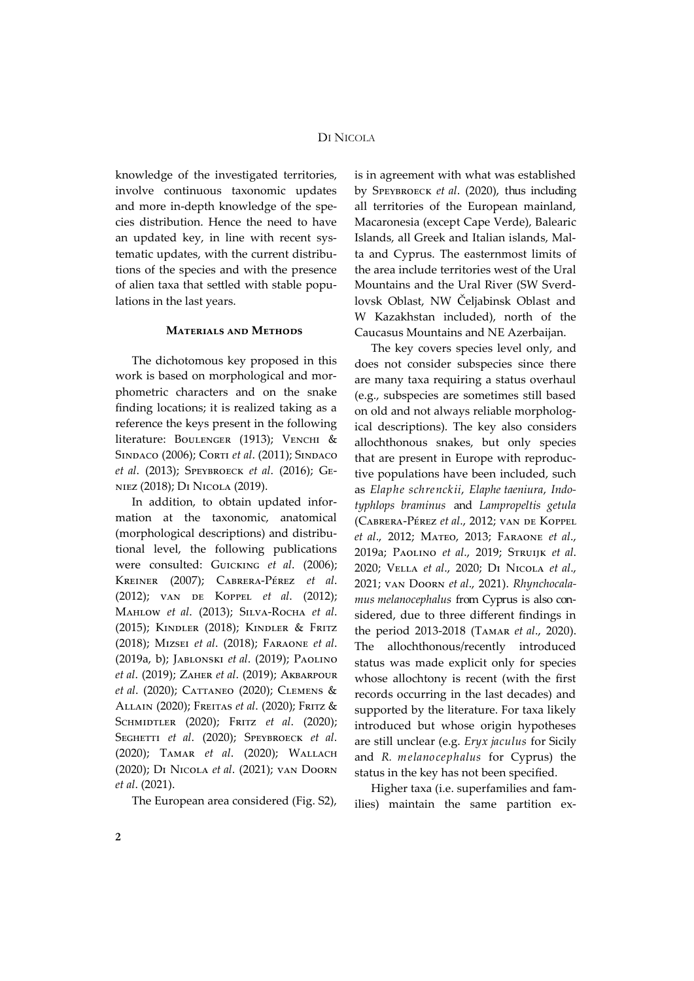knowledge of the investigated territories, involve continuous taxonomic updates and more in-depth knowledge of the species distribution. Hence the need to have an updated key, in line with recent systematic updates, with the current distributions of the species and with the presence of alien taxa that settled with stable populations in the last years.

#### **Materials and Methods**

The dichotomous key proposed in this work is based on morphological and morphometric characters and on the snake finding locations; it is realized taking as a reference the keys present in the following literature: BOULENGER (1913); VENCHI & SINDACO (2006); CORTI *et al.* (2011); SINDACO *et al*. (2013); Speybroeck *et al*. (2016); Geniez (2018); Di Nicola (2019).

In addition, to obtain updated information at the taxonomic, anatomical (morphological descriptions) and distributional level, the following publications were consulted: Guicking *et al*. (2006); Kreiner (2007); Cabrera-Pérez *et al*. (2012); van de Koppel *et al*. (2012); Mahlow *et al*. (2013); Silva-Rocha *et al*. (2015); Kindler (2018); Kindler & Fritz (2018); Mizsei *et al*. (2018); Faraone *et al*. (2019a, b); Jablonski *et al*. (2019); Paolino *et al*. (2019); Zaher *et al*. (2019); Akbarpour *et al*. (2020); Cattaneo (2020); Clemens & Allain (2020); Freitas *et al*. (2020); Fritz & Schmidtler (2020); Fritz *et al*. (2020); SEGHETTI *et al.* (2020); SPEYBROECK *et al.* (2020); Tamar *et al*. (2020); Wallach (2020); Di Nicola *et al*. (2021); van Doorn *et al*. (2021).

The European area considered (Fig. S2),

is in agreement with what was established by Speybroeck *et al*. (2020), thus including all territories of the European mainland, Macaronesia (except Cape Verde), Balearic Islands, all Greek and Italian islands, Malta and Cyprus. The easternmost limits of the area include territories west of the Ural Mountains and the Ural River (SW Sverdlovsk Oblast, NW Čeljabinsk Oblast and W Kazakhstan included), north of the Caucasus Mountains and NE Azerbaijan.

The key covers species level only, and does not consider subspecies since there are many taxa requiring a status overhaul (e.g., subspecies are sometimes still based on old and not always reliable morphological descriptions). The key also considers allochthonous snakes, but only species that are present in Europe with reproductive populations have been included, such as *Elaphe schrenckii*, *Elaphe taeniura*, *Indotyphlops braminus* and *Lampropeltis getula* (Cabrera-Pérez *et al*., 2012; van de Koppel *et al*., 2012; Mateo, 2013; Faraone *et al*., 2019a; Paolino *et al*., 2019; Struijk *et al*. 2020; Vella *et al*., 2020; Di Nicola *et al*., 2021; van Doorn *et al*., 2021). *Rhynchocalamus melanocephalus* from Cyprus is also considered, due to three different findings in the period 2013-2018 (Tamar *et al*., 2020). The allochthonous/recently introduced status was made explicit only for species whose allochtony is recent (with the first records occurring in the last decades) and supported by the literature. For taxa likely introduced but whose origin hypotheses are still unclear (e.g. *Eryx jaculus* for Sicily and *R. melanocephalus* for Cyprus) the status in the key has not been specified.

Higher taxa (i.e. superfamilies and families) maintain the same partition ex-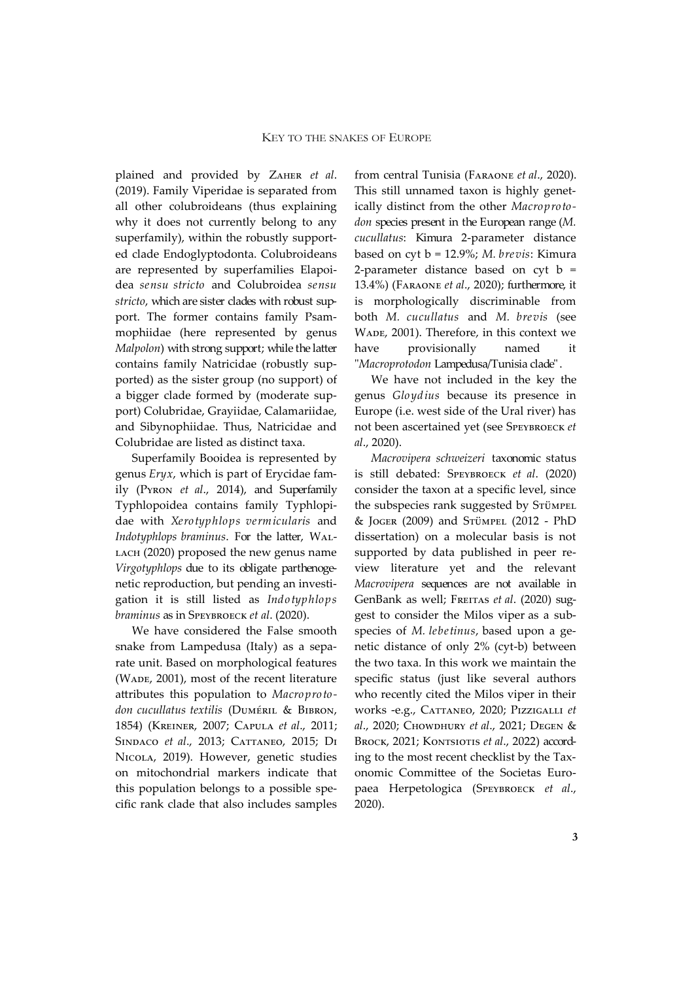plained and provided by Zaher *et al*. (2019). Family Viperidae is separated from all other colubroideans (thus explaining why it does not currently belong to any superfamily), within the robustly supported clade Endoglyptodonta. Colubroideans are represented by superfamilies Elapoidea *sensu stricto* and Colubroidea *sensu stricto*, which are sister clades with robust support. The former contains family Psammophiidae (here represented by genus *Malpolon*) with strong support; while the latter contains family Natricidae (robustly supported) as the sister group (no support) of a bigger clade formed by (moderate support) Colubridae, Grayiidae, Calamariidae, and Sibynophiidae. Thus, Natricidae and Colubridae are listed as distinct taxa.

Superfamily Booidea is represented by genus *Eryx*, which is part of Erycidae family (Pyron *et al*., 2014), and Superfamily Typhlopoidea contains family Typhlopidae with *Xerotyphlops vermicularis* and *Indotyphlops braminus*. For the latter, Wal-LACH (2020) proposed the new genus name *Virgotyphlops* due to its obligate parthenogenetic reproduction, but pending an investigation it is still listed as *Indotyphlops braminus* as in Speybroeck *et al*. (2020).

We have considered the False smooth snake from Lampedusa (Italy) as a separate unit. Based on morphological features (WADE, 2001), most of the recent literature attributes this population to *Macroprotodon cucullatus textilis* (Duméril & Bibron, 1854) (Kreiner, 2007; Capula *et al*., 2011; Sindaco *et al*., 2013; Cattaneo, 2015; Di Nicola, 2019). However, genetic studies on mitochondrial markers indicate that this population belongs to a possible specific rank clade that also includes samples from central Tunisia (Faraone *et al*., 2020). This still unnamed taxon is highly genetically distinct from the other *Macroprotodon* species present in the European range (*M. cucullatus*: Kimura 2-parameter distance based on cyt b = 12.9%; *M. brevis*: Kimura 2-parameter distance based on  $cyt$  b = 13.4%) (Faraone *et al*., 2020); furthermore, it is morphologically discriminable from both *M. cucullatus* and *M. brevis* (see WADE, 2001). Therefore, in this context we have provisionally named it "*Macroprotodon* Lampedusa/Tunisia clade" .

We have not included in the key the genus *Gloydius* because its presence in Europe (i.e. west side of the Ural river) has not been ascertained yet (see Speybroeck *et al*., 2020).

*Macrovipera schweizeri* taxonomic status is still debated: Speybroeck *et al*. (2020) consider the taxon at a specific level, since the subspecies rank suggested by STÜMPEL & Joger (2009) and Stümpel (2012 - PhD dissertation) on a molecular basis is not supported by data published in peer review literature yet and the relevant *Macrovipera* sequences are not available in GenBank as well; FREITAS et al. (2020) suggest to consider the Milos viper as a subspecies of *M. lebetinus*, based upon a genetic distance of only 2% (cyt-b) between the two taxa. In this work we maintain the specific status (just like several authors who recently cited the Milos viper in their works -e.g., Cattaneo, 2020; Pizzigalli *et al*., 2020; Chowdhury *et al*., 2021; Degen & BROCK, 2021; KONTSIOTIS et al., 2022) according to the most recent checklist by the Taxonomic Committee of the Societas Europaea Herpetologica (Speybroeck *et al*., 2020).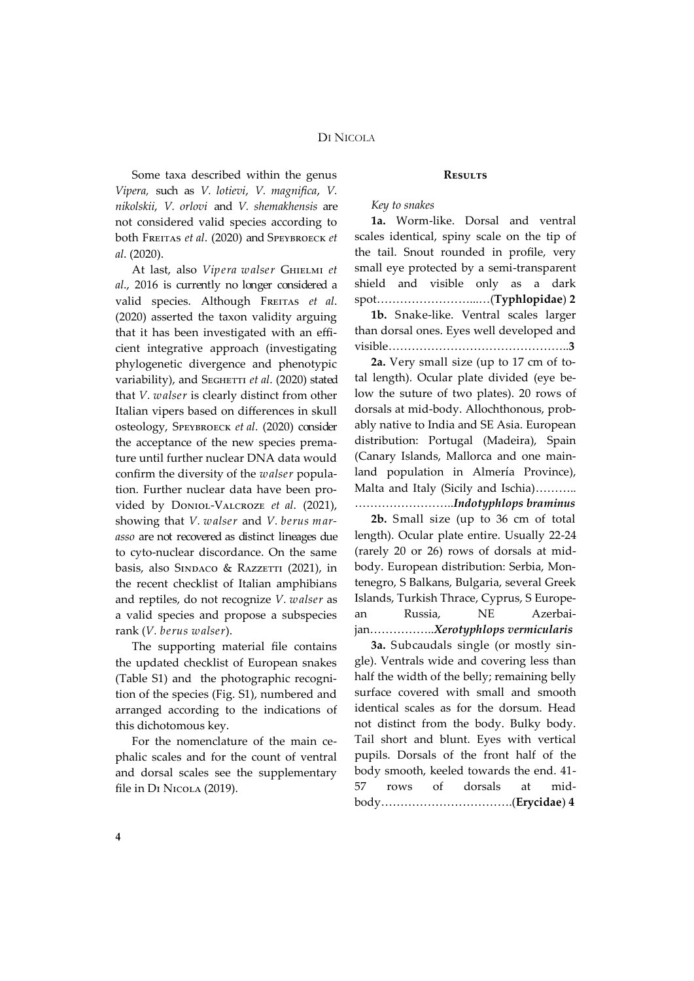Some taxa described within the genus *Vipera,* such as *V. lotievi*, *V. magnifica*, *V. nikolskii*, *V. orlovi* and *V. shemakhensis* are not considered valid species according to both Freitas *et al*. (2020) and Speybroeck *et al*. (2020).

At last, also *Vipera walser* Ghielmi *et al*., 2016 is currently no longer considered a valid species. Although FREITAS et al. (2020) asserted the taxon validity arguing that it has been investigated with an efficient integrative approach (investigating phylogenetic divergence and phenotypic variability), and SEGHETTI et al. (2020) stated that *V. walser* is clearly distinct from other Italian vipers based on differences in skull osteology, Speybroeck *et al*. (2020) consider the acceptance of the new species premature until further nuclear DNA data would confirm the diversity of the *walser* population. Further nuclear data have been provided by Doniol-Valcroze *et al*. (2021), showing that *V. walser* and *V. berus marasso* are not recovered as distinct lineages due to cyto-nuclear discordance. On the same basis, also SINDACO & RAZZETTI (2021), in the recent checklist of Italian amphibians and reptiles, do not recognize *V. walser* as a valid species and propose a subspecies rank (*V. berus walser*).

The supporting material file contains the updated checklist of European snakes (Table S1) and the photographic recognition of the species (Fig. S1), numbered and arranged according to the indications of this dichotomous key.

For the nomenclature of the main cephalic scales and for the count of ventral and dorsal scales see the supplementary file in DI NICOLA (2019).

#### **Results**

### *Key to snakes*

**1a.** Worm-like. Dorsal and ventral scales identical, spiny scale on the tip of the tail. Snout rounded in profile, very small eye protected by a semi-transparent shield and visible only as a dark spot……………………...…(**Typhlopidae**) **2**

**1b.** Snake-like. Ventral scales larger than dorsal ones. Eyes well developed and visible………………………………………..**3**

**2a.** Very small size (up to 17 cm of total length). Ocular plate divided (eye below the suture of two plates). 20 rows of dorsals at mid-body. Allochthonous, probably native to India and SE Asia. European distribution: Portugal (Madeira), Spain (Canary Islands, Mallorca and one mainland population in Almería Province), Malta and Italy (Sicily and Ischia)……….. ……………………..*Indotyphlops braminus*

**2b.** Small size (up to 36 cm of total length). Ocular plate entire. Usually 22-24 (rarely 20 or 26) rows of dorsals at midbody. European distribution: Serbia, Montenegro, S Balkans, Bulgaria, several Greek Islands, Turkish Thrace, Cyprus, S European Russia, NE Azerbaijan……………..*Xerotyphlops vermicularis*

**3a.** Subcaudals single (or mostly single). Ventrals wide and covering less than half the width of the belly; remaining belly surface covered with small and smooth identical scales as for the dorsum. Head not distinct from the body. Bulky body. Tail short and blunt. Eyes with vertical pupils. Dorsals of the front half of the body smooth, keeled towards the end. 41- 57 rows of dorsals at midbody…………………………….(**Erycidae**) **4**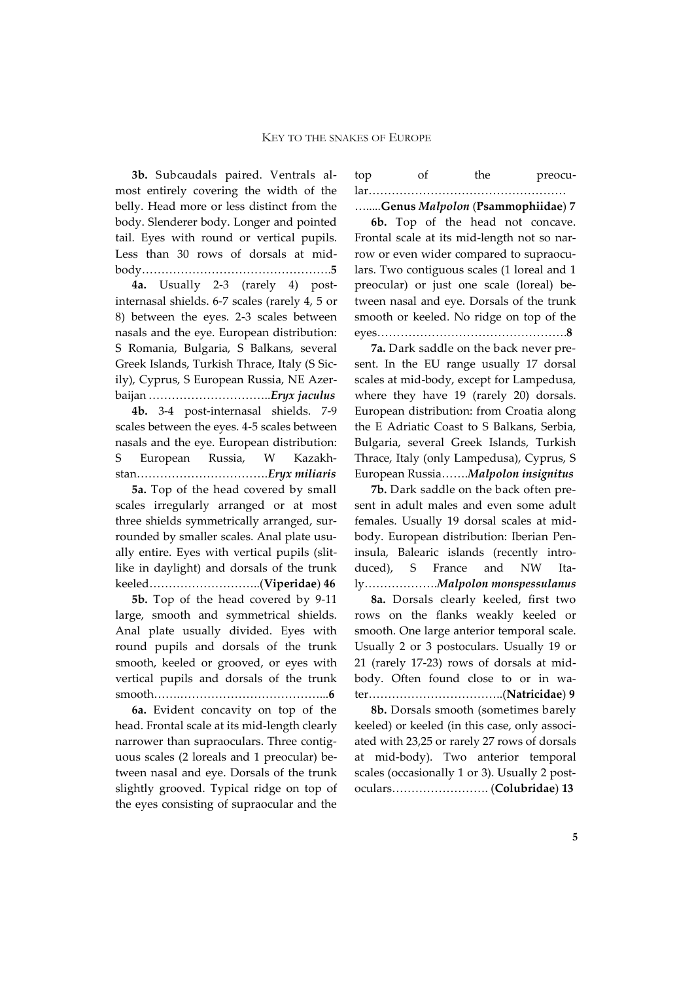**3b.** Subcaudals paired. Ventrals almost entirely covering the width of the belly. Head more or less distinct from the body. Slenderer body. Longer and pointed tail. Eyes with round or vertical pupils. Less than 30 rows of dorsals at midbody………………………………………….**5**

**4a.** Usually 2-3 (rarely 4) postinternasal shields. 6-7 scales (rarely 4, 5 or 8) between the eyes. 2-3 scales between nasals and the eye. European distribution: S Romania, Bulgaria, S Balkans, several Greek Islands, Turkish Thrace, Italy (S Sicily), Cyprus, S European Russia, NE Azerbaijan …………………………..*Eryx jaculus*

**4b.** 3-4 post-internasal shields. 7-9 scales between the eyes. 4-5 scales between nasals and the eye. European distribution: S European Russia, W Kazakhstan…………………………….*Eryx miliaris*

**5a.** Top of the head covered by small scales irregularly arranged or at most three shields symmetrically arranged, surrounded by smaller scales. Anal plate usually entire. Eyes with vertical pupils (slitlike in daylight) and dorsals of the trunk keeled………………………..(**Viperidae**) **46**

**5b.** Top of the head covered by 9-11 large, smooth and symmetrical shields. Anal plate usually divided. Eyes with round pupils and dorsals of the trunk smooth, keeled or grooved, or eyes with vertical pupils and dorsals of the trunk smooth…….………………………………...**6**

**6a.** Evident concavity on top of the head. Frontal scale at its mid-length clearly narrower than supraoculars. Three contiguous scales (2 loreals and 1 preocular) between nasal and eye. Dorsals of the trunk slightly grooved. Typical ridge on top of the eyes consisting of supraocular and the

top of the preocular…………………………………………… ….....**Genus** *Malpolon* (**Psammophiidae**) **7**

**6b.** Top of the head not concave. Frontal scale at its mid-length not so narrow or even wider compared to supraoculars. Two contiguous scales (1 loreal and 1 preocular) or just one scale (loreal) between nasal and eye. Dorsals of the trunk smooth or keeled. No ridge on top of the eyes………………………………………….**8**

**7a.** Dark saddle on the back never present. In the EU range usually 17 dorsal scales at mid-body, except for Lampedusa, where they have 19 (rarely 20) dorsals. European distribution: from Croatia along the E Adriatic Coast to S Balkans, Serbia, Bulgaria, several Greek Islands, Turkish Thrace, Italy (only Lampedusa), Cyprus, S European Russia…….*Malpolon insignitus*

**7b.** Dark saddle on the back often present in adult males and even some adult females. Usually 19 dorsal scales at midbody. European distribution: Iberian Peninsula, Balearic islands (recently introduced), S France and NW Italy……………….*Malpolon monspessulanus*

**8a.** Dorsals clearly keeled, first two rows on the flanks weakly keeled or smooth. One large anterior temporal scale. Usually 2 or 3 postoculars. Usually 19 or 21 (rarely 17-23) rows of dorsals at midbody. Often found close to or in water……………………………..(**Natricidae**) **9**

**8b.** Dorsals smooth (sometimes barely keeled) or keeled (in this case, only associated with 23,25 or rarely 27 rows of dorsals at mid-body). Two anterior temporal scales (occasionally 1 or 3). Usually 2 postoculars……………………. (**Colubridae**) **13**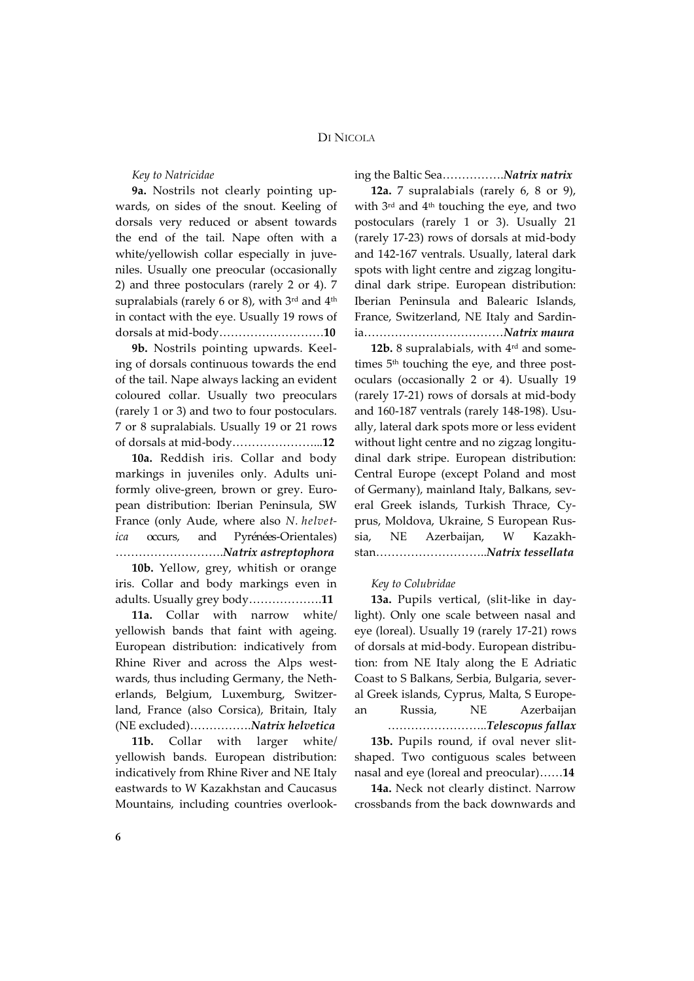### *Key to Natricidae*

**9a.** Nostrils not clearly pointing upwards, on sides of the snout. Keeling of dorsals very reduced or absent towards the end of the tail. Nape often with a white/yellowish collar especially in juveniles. Usually one preocular (occasionally 2) and three postoculars (rarely 2 or 4). 7 supralabials (rarely 6 or 8), with  $3^{rd}$  and  $4^{th}$ in contact with the eye. Usually 19 rows of dorsals at mid-body………………………**10**

**9b.** Nostrils pointing upwards. Keeling of dorsals continuous towards the end of the tail. Nape always lacking an evident coloured collar. Usually two preoculars (rarely 1 or 3) and two to four postoculars. 7 or 8 supralabials. Usually 19 or 21 rows of dorsals at mid-body…………………...**12**

**10a.** Reddish iris. Collar and body markings in juveniles only. Adults uniformly olive-green, brown or grey. European distribution: Iberian Peninsula, SW France (only Aude, where also *N. helvetica* occurs, and Pyrénées-Orientales) ……………………….*Natrix astreptophora*

**10b.** Yellow, grey, whitish or orange iris. Collar and body markings even in adults. Usually grey body……………….**11**

**11a.** Collar with narrow white/ yellowish bands that faint with ageing. European distribution: indicatively from Rhine River and across the Alps westwards, thus including Germany, the Netherlands, Belgium, Luxemburg, Switzerland, France (also Corsica), Britain, Italy (NE excluded)…………….*Natrix helvetica*

**11b.** Collar with larger white/ yellowish bands. European distribution: indicatively from Rhine River and NE Italy eastwards to W Kazakhstan and Caucasus Mountains, including countries overlooking the Baltic Sea…………….*Natrix natrix*

**12a.** 7 supralabials (rarely 6, 8 or 9), with 3rd and 4th touching the eye, and two postoculars (rarely 1 or 3). Usually 21 (rarely 17-23) rows of dorsals at mid-body and 142-167 ventrals. Usually, lateral dark spots with light centre and zigzag longitudinal dark stripe. European distribution: Iberian Peninsula and Balearic Islands, France, Switzerland, NE Italy and Sardinia………………………………*Natrix maura*

12b. 8 supralabials, with 4<sup>rd</sup> and sometimes 5<sup>th</sup> touching the eye, and three postoculars (occasionally 2 or 4). Usually 19 (rarely 17-21) rows of dorsals at mid-body and 160-187 ventrals (rarely 148-198). Usually, lateral dark spots more or less evident without light centre and no zigzag longitudinal dark stripe. European distribution: Central Europe (except Poland and most of Germany), mainland Italy, Balkans, several Greek islands, Turkish Thrace, Cyprus, Moldova, Ukraine, S European Russia, NE Azerbaijan, W Kazakhstan………………………..*Natrix tessellata*

### *Key to Colubridae*

**13a.** Pupils vertical, (slit-like in daylight). Only one scale between nasal and eye (loreal). Usually 19 (rarely 17-21) rows of dorsals at mid-body. European distribution: from NE Italy along the E Adriatic Coast to S Balkans, Serbia, Bulgaria, several Greek islands, Cyprus, Malta, S European Russia, NE Azerbaijan ……………………..*Telescopus fallax*

**13b.** Pupils round, if oval never slitshaped. Two contiguous scales between nasal and eye (loreal and preocular)……**14**

**14a.** Neck not clearly distinct. Narrow crossbands from the back downwards and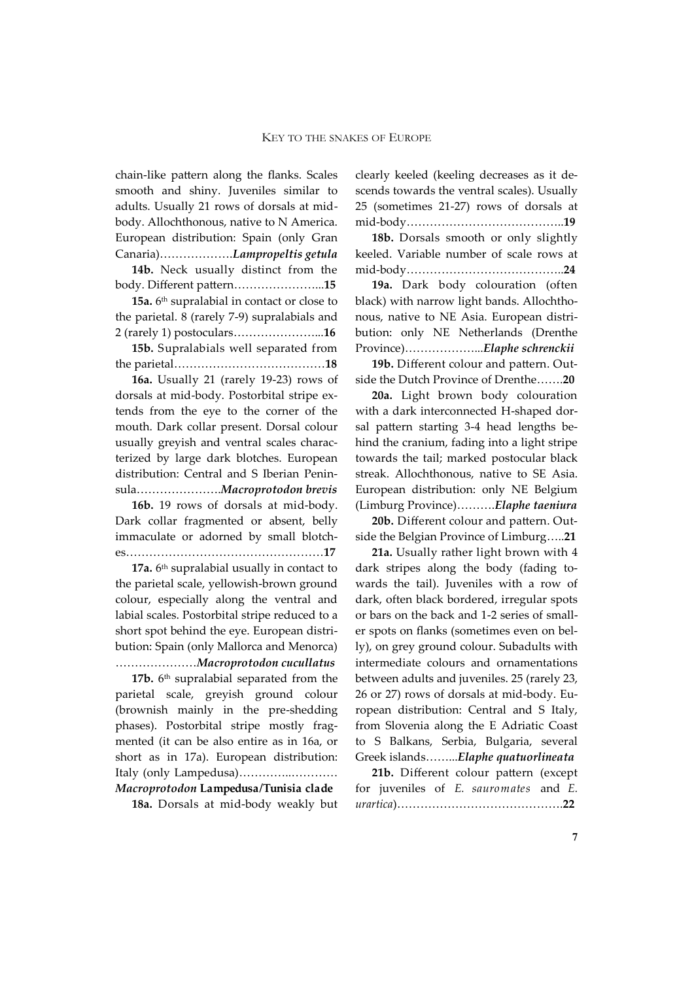chain-like pattern along the flanks. Scales smooth and shiny. Juveniles similar to adults. Usually 21 rows of dorsals at midbody. Allochthonous, native to N America. European distribution: Spain (only Gran Canaria)……………….*Lampropeltis getula*

**14b.** Neck usually distinct from the body. Different pattern…………………...**15**

**15a.** 6<sup>th</sup> supralabial in contact or close to the parietal. 8 (rarely 7-9) supralabials and 2 (rarely 1) postoculars…………………...**16**

**15b.** Supralabials well separated from the parietal…………………………………**18**

**16a.** Usually 21 (rarely 19-23) rows of dorsals at mid-body. Postorbital stripe extends from the eye to the corner of the mouth. Dark collar present. Dorsal colour usually greyish and ventral scales characterized by large dark blotches. European distribution: Central and S Iberian Peninsula………………….*Macroprotodon brevis*

**16b.** 19 rows of dorsals at mid-body. Dark collar fragmented or absent, belly immaculate or adorned by small blotches……………………………………………**17**

**17a.** 6<sup>th</sup> supralabial usually in contact to the parietal scale, yellowish-brown ground colour, especially along the ventral and labial scales. Postorbital stripe reduced to a short spot behind the eye. European distribution: Spain (only Mallorca and Menorca) …………………*Macroprotodon cucullatus*

**17b.** 6<sup>th</sup> supralabial separated from the parietal scale, greyish ground colour (brownish mainly in the pre-shedding phases). Postorbital stripe mostly fragmented (it can be also entire as in 16a, or short as in 17a). European distribution: Italy (only Lampedusa)…………..…………

*Macroprotodon* **Lampedusa/Tunisia clade 18a.** Dorsals at mid-body weakly but clearly keeled (keeling decreases as it descends towards the ventral scales). Usually 25 (sometimes 21-27) rows of dorsals at mid-body…………………………………..**19**

**18b.** Dorsals smooth or only slightly keeled. Variable number of scale rows at mid-body…………………………………..**24**

**19a.** Dark body colouration (often black) with narrow light bands. Allochthonous, native to NE Asia. European distribution: only NE Netherlands (Drenthe Province)………………...*Elaphe schrenckii*

**19b.** Different colour and pattern. Outside the Dutch Province of Drenthe…….**20**

**20a.** Light brown body colouration with a dark interconnected H-shaped dorsal pattern starting 3-4 head lengths behind the cranium, fading into a light stripe towards the tail; marked postocular black streak. Allochthonous, native to SE Asia. European distribution: only NE Belgium (Limburg Province)……….*Elaphe taeniura*

**20b.** Different colour and pattern. Outside the Belgian Province of Limburg…..**21**

**21a.** Usually rather light brown with 4 dark stripes along the body (fading towards the tail). Juveniles with a row of dark, often black bordered, irregular spots or bars on the back and 1-2 series of smaller spots on flanks (sometimes even on belly), on grey ground colour. Subadults with intermediate colours and ornamentations between adults and juveniles. 25 (rarely 23, 26 or 27) rows of dorsals at mid-body. European distribution: Central and S Italy, from Slovenia along the E Adriatic Coast to S Balkans, Serbia, Bulgaria, several Greek islands……...*Elaphe quatuorlineata*

**21b.** Different colour pattern (except for juveniles of *E. sauromates* and *E. urartica*)…………………………………….**22**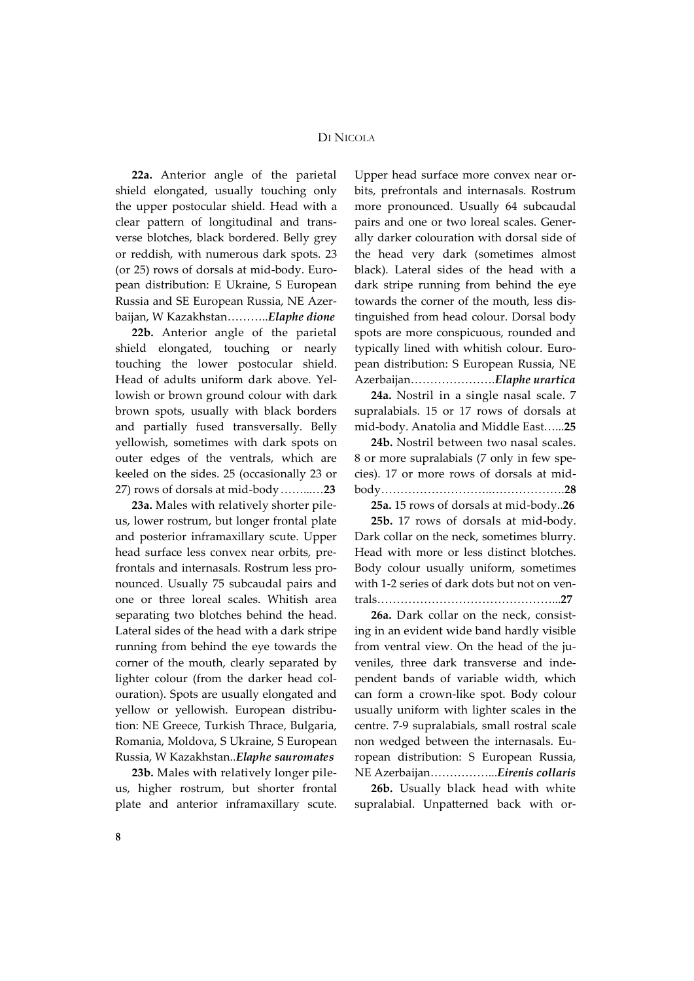**22a.** Anterior angle of the parietal shield elongated, usually touching only the upper postocular shield. Head with a clear pattern of longitudinal and transverse blotches, black bordered. Belly grey or reddish, with numerous dark spots. 23 (or 25) rows of dorsals at mid-body. European distribution: E Ukraine, S European Russia and SE European Russia, NE Azerbaijan, W Kazakhstan………..*Elaphe dione*

**22b.** Anterior angle of the parietal shield elongated, touching or nearly touching the lower postocular shield. Head of adults uniform dark above. Yellowish or brown ground colour with dark brown spots, usually with black borders and partially fused transversally. Belly yellowish, sometimes with dark spots on outer edges of the ventrals, which are keeled on the sides. 25 (occasionally 23 or 27) rows of dorsals at mid-body……...…**23**

**23a.** Males with relatively shorter pileus, lower rostrum, but longer frontal plate and posterior inframaxillary scute. Upper head surface less convex near orbits, prefrontals and internasals. Rostrum less pronounced. Usually 75 subcaudal pairs and one or three loreal scales. Whitish area separating two blotches behind the head. Lateral sides of the head with a dark stripe running from behind the eye towards the corner of the mouth, clearly separated by lighter colour (from the darker head colouration). Spots are usually elongated and yellow or yellowish. European distribution: NE Greece, Turkish Thrace, Bulgaria, Romania, Moldova, S Ukraine, S European Russia, W Kazakhstan..*Elaphe sauromates*

**23b.** Males with relatively longer pileus, higher rostrum, but shorter frontal plate and anterior inframaxillary scute. Upper head surface more convex near orbits, prefrontals and internasals. Rostrum more pronounced. Usually 64 subcaudal pairs and one or two loreal scales. Generally darker colouration with dorsal side of the head very dark (sometimes almost black). Lateral sides of the head with a dark stripe running from behind the eye towards the corner of the mouth, less distinguished from head colour. Dorsal body spots are more conspicuous, rounded and typically lined with whitish colour. European distribution: S European Russia, NE Azerbaijan………………….*Elaphe urartica*

**24a.** Nostril in a single nasal scale. 7 supralabials. 15 or 17 rows of dorsals at mid-body. Anatolia and Middle East…...**25**

**24b.** Nostril between two nasal scales. 8 or more supralabials (7 only in few species). 17 or more rows of dorsals at midbody………………………..……………….**28**

**25a.** 15 rows of dorsals at mid-body..**26**

**25b.** 17 rows of dorsals at mid-body. Dark collar on the neck, sometimes blurry. Head with more or less distinct blotches. Body colour usually uniform, sometimes with 1-2 series of dark dots but not on ventrals………………………………………...**27**

**26a.** Dark collar on the neck, consisting in an evident wide band hardly visible from ventral view. On the head of the juveniles, three dark transverse and independent bands of variable width, which can form a crown-like spot. Body colour usually uniform with lighter scales in the centre. 7-9 supralabials, small rostral scale non wedged between the internasals. European distribution: S European Russia, NE Azerbaijan……………...*Eirenis collaris*

**26b.** Usually black head with white supralabial. Unpatterned back with or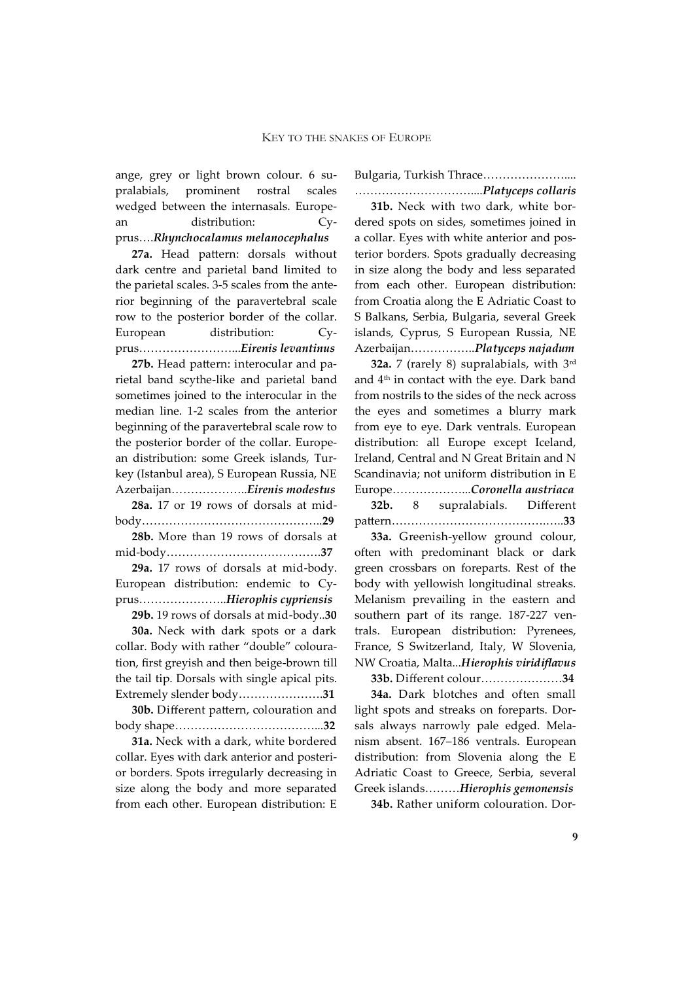ange, grey or light brown colour. 6 supralabials, prominent rostral scales wedged between the internasals. European distribution: Cyprus….*Rhynchocalamus melanocephalus*

**27a.** Head pattern: dorsals without dark centre and parietal band limited to the parietal scales. 3-5 scales from the anterior beginning of the paravertebral scale row to the posterior border of the collar. European distribution: Cyprus……………………...*Eirenis levantinus*

**27b.** Head pattern: interocular and parietal band scythe-like and parietal band sometimes joined to the interocular in the median line. 1-2 scales from the anterior beginning of the paravertebral scale row to the posterior border of the collar. European distribution: some Greek islands, Turkey (Istanbul area), S European Russia, NE Azerbaijan………………..*Eirenis modestus* **28a.** 17 or 19 rows of dorsals at midbody………………………………………..**29 28b.** More than 19 rows of dorsals at mid-body………………………………….**37 29a.** 17 rows of dorsals at mid-body.

European distribution: endemic to Cyprus…………………..*Hierophis cypriensis*

**29b.** 19 rows of dorsals at mid-body..**30**

**30a.** Neck with dark spots or a dark collar. Body with rather "double" colouration, first greyish and then beige-brown till the tail tip. Dorsals with single apical pits. Extremely slender body………………….**31**

**30b.** Different pattern, colouration and body shape………………………………...**32**

**31a.** Neck with a dark, white bordered collar. Eyes with dark anterior and posterior borders. Spots irregularly decreasing in size along the body and more separated from each other. European distribution: E Bulgaria, Turkish Thrace…………………....

…………………………....*Platyceps collaris* **31b.** Neck with two dark, white bordered spots on sides, sometimes joined in a collar. Eyes with white anterior and posterior borders. Spots gradually decreasing in size along the body and less separated from each other. European distribution: from Croatia along the E Adriatic Coast to S Balkans, Serbia, Bulgaria, several Greek islands, Cyprus, S European Russia, NE Azerbaijan……………..*Platyceps najadum*

**32a.** 7 (rarely 8) supralabials, with 3rd and 4th in contact with the eye. Dark band from nostrils to the sides of the neck across the eyes and sometimes a blurry mark from eye to eye. Dark ventrals. European distribution: all Europe except Iceland, Ireland, Central and N Great Britain and N Scandinavia; not uniform distribution in E Europe………………...*Coronella austriaca* **32b.** 8 supralabials. Different

pattern………………………………….…..**33**

**33a.** Greenish-yellow ground colour, often with predominant black or dark green crossbars on foreparts. Rest of the body with yellowish longitudinal streaks. Melanism prevailing in the eastern and southern part of its range. 187-227 ventrals. European distribution: Pyrenees, France, S Switzerland, Italy, W Slovenia, NW Croatia, Malta...*Hierophis viridiflavus*

**33b.** Different colour…………………**34**

**34a.** Dark blotches and often small light spots and streaks on foreparts. Dorsals always narrowly pale edged. Melanism absent. 167–186 ventrals. European distribution: from Slovenia along the E Adriatic Coast to Greece, Serbia, several Greek islands………*Hierophis gemonensis*

**34b.** Rather uniform colouration. Dor-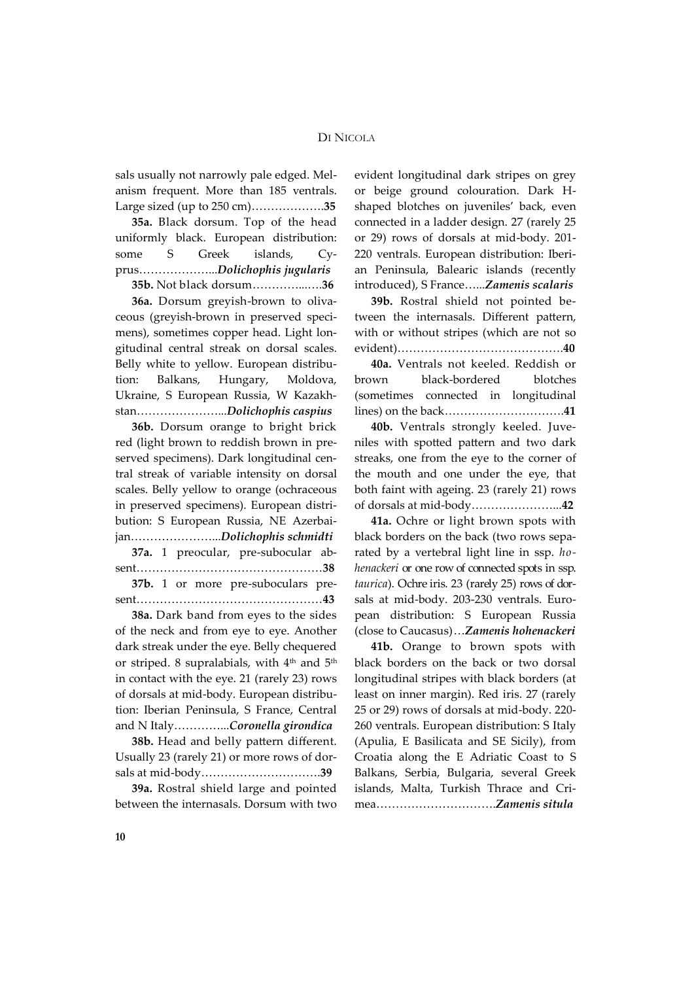sals usually not narrowly pale edged. Melanism frequent. More than 185 ventrals. Large sized (up to 250 cm)……………….**35**

**35a.** Black dorsum. Top of the head uniformly black. European distribution: some S Greek islands, Cyprus………………...*Dolichophis jugularis*

**35b.** Not black dorsum…………...….**36**

**36a.** Dorsum greyish-brown to olivaceous (greyish-brown in preserved specimens), sometimes copper head. Light longitudinal central streak on dorsal scales. Belly white to yellow. European distribution: Balkans, Hungary, Moldova, Ukraine, S European Russia, W Kazakhstan…………………...*Dolichophis caspius*

**36b.** Dorsum orange to bright brick red (light brown to reddish brown in preserved specimens). Dark longitudinal central streak of variable intensity on dorsal scales. Belly yellow to orange (ochraceous in preserved specimens). European distribution: S European Russia, NE Azerbaijan…………………...*Dolichophis schmidti*

**37a.** 1 preocular, pre-subocular absent…………………………………………**38**

**37b.** 1 or more pre-suboculars present…………………………………………**43**

**38a.** Dark band from eyes to the sides of the neck and from eye to eye. Another dark streak under the eye. Belly chequered or striped. 8 supralabials, with  $4<sup>th</sup>$  and  $5<sup>th</sup>$ in contact with the eye. 21 (rarely 23) rows of dorsals at mid-body. European distribution: Iberian Peninsula, S France, Central and N Italy…………...*Coronella girondica*

**38b.** Head and belly pattern different. Usually 23 (rarely 21) or more rows of dorsals at mid-body………………………….**39**

**39a.** Rostral shield large and pointed between the internasals. Dorsum with two evident longitudinal dark stripes on grey or beige ground colouration. Dark Hshaped blotches on juveniles' back, even connected in a ladder design. 27 (rarely 25 or 29) rows of dorsals at mid-body. 201- 220 ventrals. European distribution: Iberian Peninsula, Balearic islands (recently introduced), S France…...*Zamenis scalaris*

**39b.** Rostral shield not pointed between the internasals. Different pattern, with or without stripes (which are not so evident)…………………………………….**40**

**40a.** Ventrals not keeled. Reddish or brown black-bordered blotches (sometimes connected in longitudinal lines) on the back………………………….**41**

**40b.** Ventrals strongly keeled. Juveniles with spotted pattern and two dark streaks, one from the eye to the corner of the mouth and one under the eye, that both faint with ageing. 23 (rarely 21) rows of dorsals at mid-body…………………...**42**

**41a.** Ochre or light brown spots with black borders on the back (two rows separated by a vertebral light line in ssp. *hohenackeri* or one row of connected spots in ssp. *taurica*). Ochre iris. 23 (rarely 25) rows of dorsals at mid-body. 203-230 ventrals. European distribution: S European Russia (close to Caucasus)…*Zamenis hohenackeri*

**41b.** Orange to brown spots with black borders on the back or two dorsal longitudinal stripes with black borders (at least on inner margin). Red iris. 27 (rarely 25 or 29) rows of dorsals at mid-body. 220- 260 ventrals. European distribution: S Italy (Apulia, E Basilicata and SE Sicily), from Croatia along the E Adriatic Coast to S Balkans, Serbia, Bulgaria, several Greek islands, Malta, Turkish Thrace and Crimea………………………….*Zamenis situla*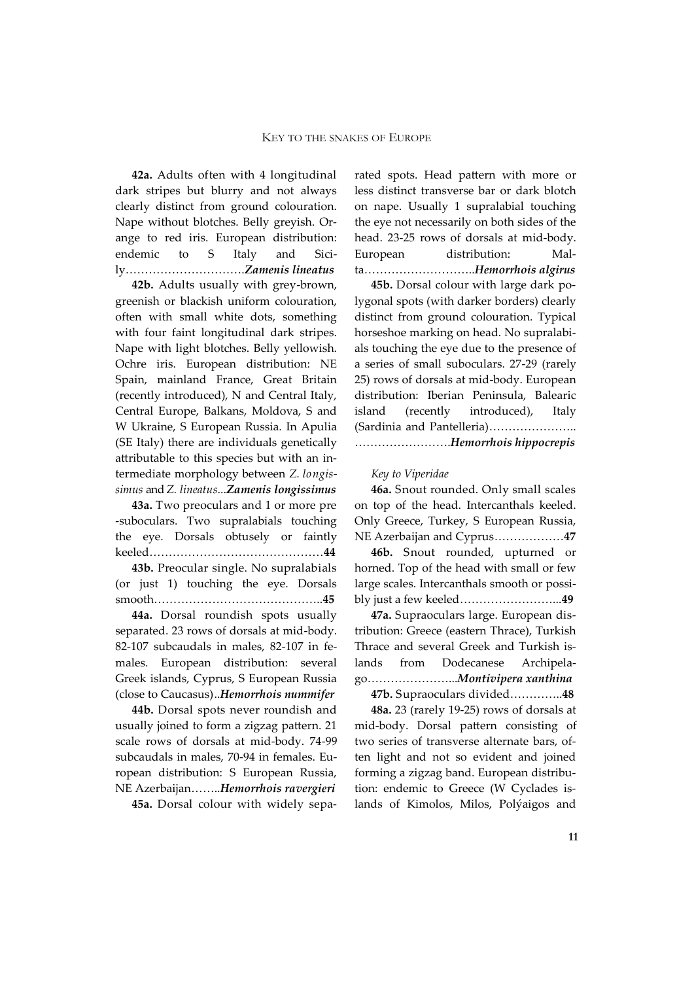**42a.** Adults often with 4 longitudinal dark stripes but blurry and not always clearly distinct from ground colouration. Nape without blotches. Belly greyish. Orange to red iris. European distribution: endemic to S Italy and Sicily………………………….*Zamenis lineatus*

**42b.** Adults usually with grey-brown, greenish or blackish uniform colouration, often with small white dots, something with four faint longitudinal dark stripes. Nape with light blotches. Belly yellowish. Ochre iris. European distribution: NE Spain, mainland France, Great Britain (recently introduced), N and Central Italy, Central Europe, Balkans, Moldova, S and W Ukraine, S European Russia. In Apulia (SE Italy) there are individuals genetically attributable to this species but with an intermediate morphology between *Z. longissimus* and *Z. lineatus*...*Zamenis longissimus*

**43a.** Two preoculars and 1 or more pre -suboculars. Two supralabials touching the eye. Dorsals obtusely or faintly keeled………………………………………**44**

**43b.** Preocular single. No supralabials (or just 1) touching the eye. Dorsals smooth……………………………………..**45**

**44a.** Dorsal roundish spots usually separated. 23 rows of dorsals at mid-body. 82-107 subcaudals in males, 82-107 in females. European distribution: several Greek islands, Cyprus, S European Russia (close to Caucasus)..*Hemorrhois nummifer*

**44b.** Dorsal spots never roundish and usually joined to form a zigzag pattern. 21 scale rows of dorsals at mid-body. 74-99 subcaudals in males, 70-94 in females. European distribution: S European Russia, NE Azerbaijan……..*Hemorrhois ravergieri*

**45a.** Dorsal colour with widely sepa-

rated spots. Head pattern with more or less distinct transverse bar or dark blotch on nape. Usually 1 supralabial touching the eye not necessarily on both sides of the head. 23-25 rows of dorsals at mid-body. European distribution: Malta………………………..*Hemorrhois algirus*

**45b.** Dorsal colour with large dark polygonal spots (with darker borders) clearly distinct from ground colouration. Typical horseshoe marking on head. No supralabials touching the eye due to the presence of a series of small suboculars. 27-29 (rarely 25) rows of dorsals at mid-body. European distribution: Iberian Peninsula, Balearic island (recently introduced), Italy (Sardinia and Pantelleria)………………….. …………………….*Hemorrhois hippocrepis*

#### *Key to Viperidae*

**46a.** Snout rounded. Only small scales on top of the head. Intercanthals keeled. Only Greece, Turkey, S European Russia, NE Azerbaijan and Cyprus………………**47**

**46b.** Snout rounded, upturned or horned. Top of the head with small or few large scales. Intercanthals smooth or possibly just a few keeled……………………...**49**

**47a.** Supraoculars large. European distribution: Greece (eastern Thrace), Turkish Thrace and several Greek and Turkish islands from Dodecanese Archipelago…………………...*Montivipera xanthina*

**47b.** Supraoculars divided…………..**48**

**48a.** 23 (rarely 19-25) rows of dorsals at mid-body. Dorsal pattern consisting of two series of transverse alternate bars, often light and not so evident and joined forming a zigzag band. European distribution: endemic to Greece (W Cyclades islands of Kimolos, Milos, Polýaigos and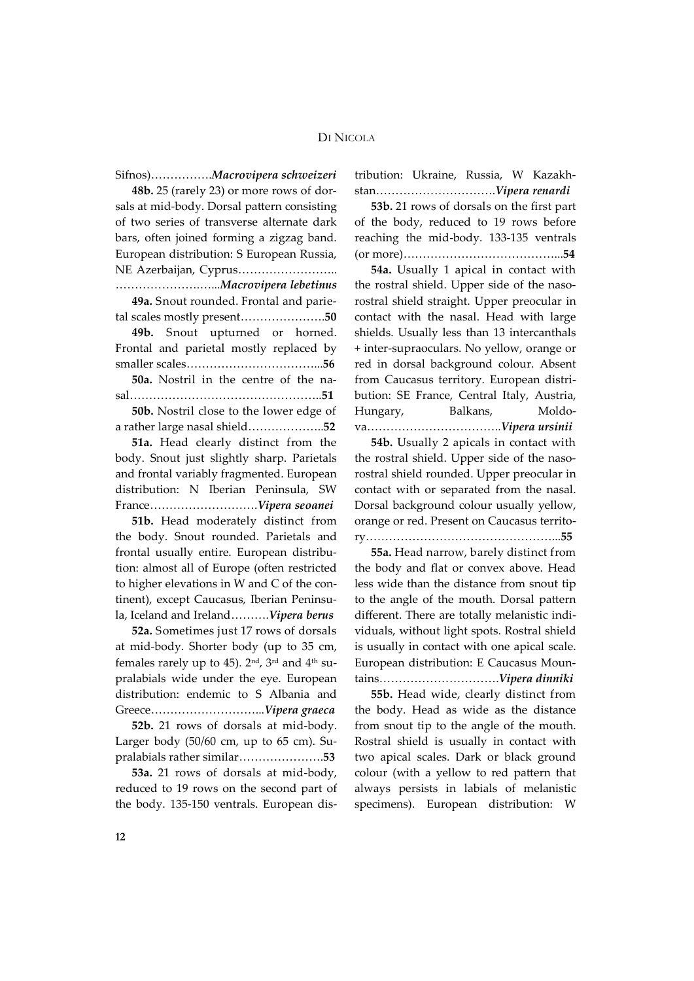Sifnos)…………….*Macrovipera schweizeri*

**48b.** 25 (rarely 23) or more rows of dorsals at mid-body. Dorsal pattern consisting of two series of transverse alternate dark bars, often joined forming a zigzag band. European distribution: S European Russia, NE Azerbaijan, Cyprus…………………….. ………………….…...*Macrovipera lebetinus*

**49a.** Snout rounded. Frontal and parietal scales mostly present………………….**50**

**49b.** Snout upturned or horned. Frontal and parietal mostly replaced by smaller scales……………………………...**56**

**50a.** Nostril in the centre of the nasal…………………………………………..**51**

**50b.** Nostril close to the lower edge of a rather large nasal shield………………..**52**

**51a.** Head clearly distinct from the body. Snout just slightly sharp. Parietals and frontal variably fragmented. European distribution: N Iberian Peninsula, SW France……………………….*Vipera seoanei*

**51b.** Head moderately distinct from the body. Snout rounded. Parietals and frontal usually entire. European distribution: almost all of Europe (often restricted to higher elevations in W and C of the continent), except Caucasus, Iberian Peninsula, Iceland and Ireland……….*Vipera berus*

**52a.** Sometimes just 17 rows of dorsals at mid-body. Shorter body (up to 35 cm, females rarely up to 45).  $2<sup>nd</sup>$ ,  $3<sup>rd</sup>$  and  $4<sup>th</sup>$  supralabials wide under the eye. European distribution: endemic to S Albania and Greece………………………...*Vipera graeca*

**52b.** 21 rows of dorsals at mid-body. Larger body (50/60 cm, up to 65 cm). Supralabials rather similar………………….**53**

**53a.** 21 rows of dorsals at mid-body, reduced to 19 rows on the second part of the body. 135-150 ventrals. European distribution: Ukraine, Russia, W Kazakhstan………………………….*Vipera renardi*

**53b.** 21 rows of dorsals on the first part of the body, reduced to 19 rows before reaching the mid-body. 133-135 ventrals (or more)…………………………………...**54**

**54a.** Usually 1 apical in contact with the rostral shield. Upper side of the nasorostral shield straight. Upper preocular in contact with the nasal. Head with large shields. Usually less than 13 intercanthals + inter-supraoculars. No yellow, orange or red in dorsal background colour. Absent from Caucasus territory. European distribution: SE France, Central Italy, Austria, Hungary, Balkans, Moldova……………………………..*Vipera ursinii*

**54b.** Usually 2 apicals in contact with the rostral shield. Upper side of the nasorostral shield rounded. Upper preocular in contact with or separated from the nasal. Dorsal background colour usually yellow, orange or red. Present on Caucasus territory…………………………………………...**55**

**55a.** Head narrow, barely distinct from the body and flat or convex above. Head less wide than the distance from snout tip to the angle of the mouth. Dorsal pattern different. There are totally melanistic individuals, without light spots. Rostral shield is usually in contact with one apical scale. European distribution: E Caucasus Mountains………………………….*Vipera dinniki*

**55b.** Head wide, clearly distinct from the body. Head as wide as the distance from snout tip to the angle of the mouth. Rostral shield is usually in contact with two apical scales. Dark or black ground colour (with a yellow to red pattern that always persists in labials of melanistic specimens). European distribution: W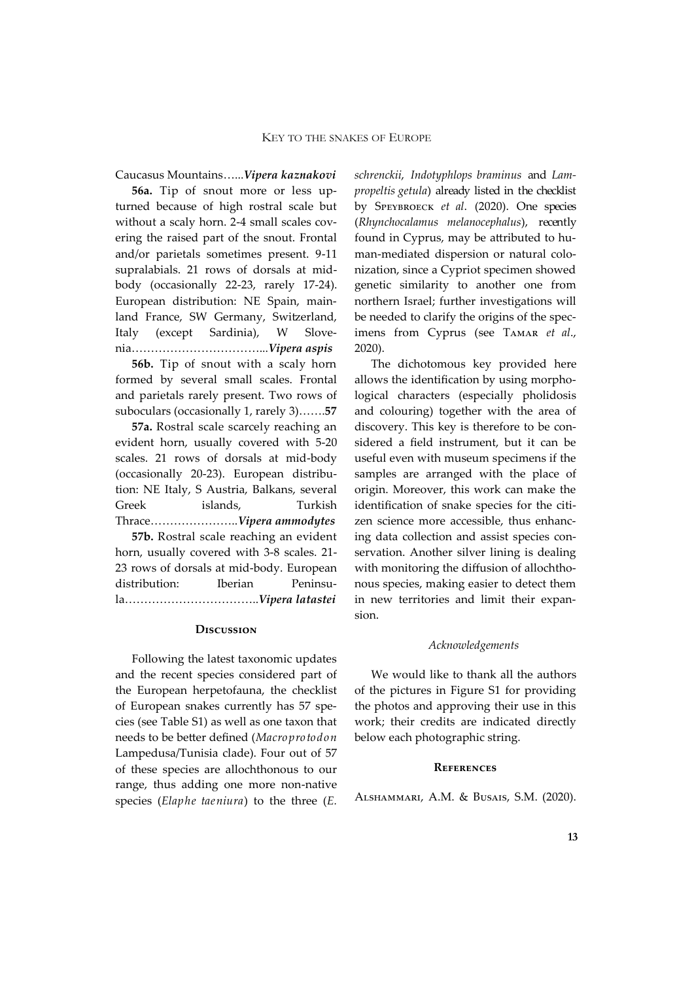Caucasus Mountains…...*Vipera kaznakovi*

**56a.** Tip of snout more or less upturned because of high rostral scale but without a scaly horn. 2-4 small scales covering the raised part of the snout. Frontal and/or parietals sometimes present. 9-11 supralabials. 21 rows of dorsals at midbody (occasionally 22-23, rarely 17-24). European distribution: NE Spain, mainland France, SW Germany, Switzerland, Italy (except Sardinia), W Slovenia……………………………...*Vipera aspis*

**56b.** Tip of snout with a scaly horn formed by several small scales. Frontal and parietals rarely present. Two rows of suboculars (occasionally 1, rarely 3)…….**57**

**57a.** Rostral scale scarcely reaching an evident horn, usually covered with 5-20 scales. 21 rows of dorsals at mid-body (occasionally 20-23). European distribution: NE Italy, S Austria, Balkans, several Greek islands, Turkish Thrace…………………..*Vipera ammodytes*

**57b.** Rostral scale reaching an evident horn, usually covered with 3-8 scales. 21- 23 rows of dorsals at mid-body. European distribution: Iberian Peninsula……………………………..*Vipera latastei*

#### **Discussion**

Following the latest taxonomic updates and the recent species considered part of the European herpetofauna, the checklist of European snakes currently has 57 species (see Table S1) as well as one taxon that needs to be better defined (*Macroprotodon* Lampedusa/Tunisia clade). Four out of 57 of these species are allochthonous to our range, thus adding one more non-native species (*Elaphe taeniura*) to the three (*E.* 

*schrenckii*, *Indotyphlops braminus* and *Lampropeltis getula*) already listed in the checklist by Speybroeck *et al*. (2020). One species (*Rhynchocalamus melanocephalus*), recently found in Cyprus, may be attributed to human-mediated dispersion or natural colonization, since a Cypriot specimen showed genetic similarity to another one from northern Israel; further investigations will be needed to clarify the origins of the specimens from Cyprus (see Tamar *et al*., 2020).

The dichotomous key provided here allows the identification by using morphological characters (especially pholidosis and colouring) together with the area of discovery. This key is therefore to be considered a field instrument, but it can be useful even with museum specimens if the samples are arranged with the place of origin. Moreover, this work can make the identification of snake species for the citizen science more accessible, thus enhancing data collection and assist species conservation. Another silver lining is dealing with monitoring the diffusion of allochthonous species, making easier to detect them in new territories and limit their expansion.

### *Acknowledgements*

We would like to thank all the authors of the pictures in Figure S1 for providing the photos and approving their use in this work; their credits are indicated directly below each photographic string.

#### **References**

Alshammari, A.M. & Busais, S.M. (2020).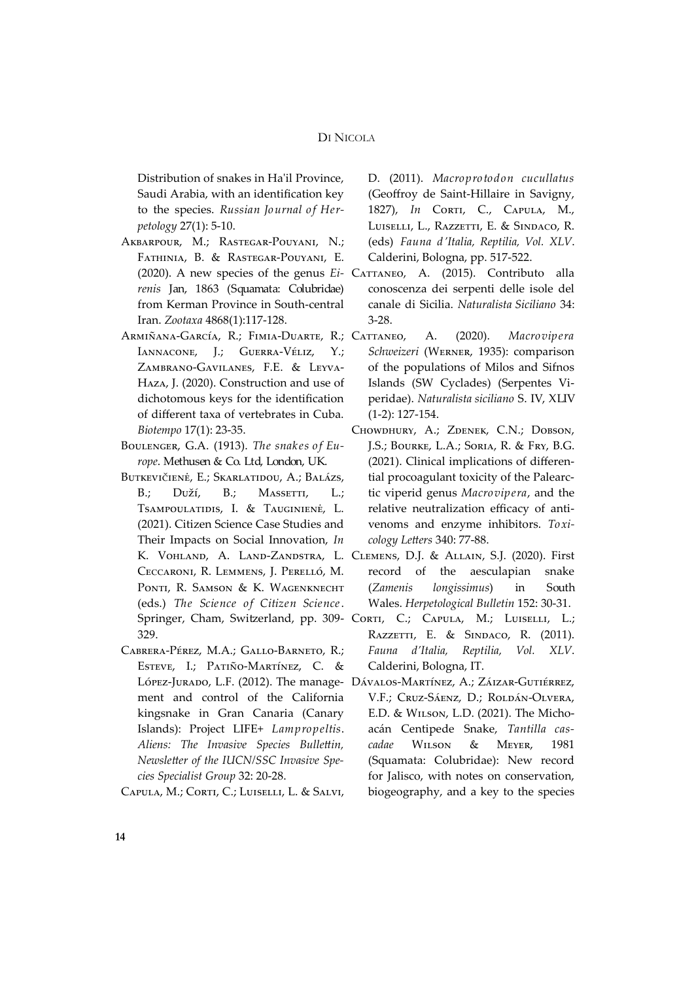Distribution of snakes in Ha'il Province, Saudi Arabia, with an identification key to the species. *Russian Journal of Herpetology* 27(1): 5-10.

- Akbarpour, M.; Rastegar-Pouyani, N.; Fathinia, B. & Rastegar-Pouyani, E. *renis* Jan, 1863 (Squamata: Colubridae) from Kerman Province in South-central Iran. *Zootaxa* 4868(1):117-128.
- ARMIÑANA-GARCÍA, R.; FIMIA-DUARTE, R.; CATTANEO, IANNACONE, J.; GUERRA-VÉLIZ, Y.; Zambrano-Gavilanes, F.E. & Leyva-Haza, J. (2020). Construction and use of dichotomous keys for the identification of different taxa of vertebrates in Cuba. *Biotempo* 17(1): 23-35.
- Boulenger, G.A. (1913). *The snakes of Europe*. Methusen & Co. Ltd, London, UK.
- Butkevičienė, E.; Skarlatidou, A.; Balázs, B.; Duží, B.; Massetti, L.; Tsampoulatidis, I. & Tauginienė, L. (2021). Citizen Science Case Studies and Their Impacts on Social Innovation, *In* Ceccaroni, R. Lemmens, J. Perelló, M. PONTI, R. SAMSON & K. WAGENKNECHT (eds.) *The Science of Citizen Science*. 329.
- Cabrera-Pérez, M.A.; Gallo-Barneto, R.; Esteve, I.; Patiño-Martínez, C. & ment and control of the California kingsnake in Gran Canaria (Canary Islands): Project LIFE+ *Lampropeltis*. *Aliens: The Invasive Species Bullettin, Newsletter of the IUCN/SSC Invasive Species Specialist Group* 32: 20-28.
- CAPULA, M.; CORTI, C.; LUISELLI, L. & SALVI,

D. (2011). *Macroprotodon cucullatus* (Geoffroy de Saint-Hillaire in Savigny, 1827), *In* CORTI, C., CAPULA, M., Luiselli, L., Razzetti, E. & Sindaco, R. (eds) *Fauna d'Italia, Reptilia, Vol. XLV*. Calderini, Bologna, pp. 517-522.

- (2020). A new species of the genus *Ei* Cattaneo, A. (2015). Contributo alla conoscenza dei serpenti delle isole del canale di Sicilia. *Naturalista Siciliano* 34: 3-28.
	- A. (2020). *Macrovipera Schweizeri* (Werner, 1935): comparison of the populations of Milos and Sifnos Islands (SW Cyclades) (Serpentes Viperidae). *Naturalista siciliano* S. IV, XLIV (1-2): 127-154.
	- Chowdhury, A.; Zdenek, C.N.; Dobson, J.S.; Bourke, L.A.; Soria, R. & Fry, B.G. (2021). Clinical implications of differential procoagulant toxicity of the Palearctic viperid genus *Macrovipera*, and the relative neutralization efficacy of antivenoms and enzyme inhibitors. *Toxicology Letters* 340: 77-88.
- K. Vohland, A. Land-Zandstra, L. Clemens, D.J. & Allain, S.J. (2020). First record of the aesculapian snake (*Zamenis longissimus*) in South Wales. *Herpetological Bulletin* 152: 30-31.
- Springer, Cham, Switzerland, pp. 309- Corri, C.; Carula, M.; Luiselli, L.; RAZZETTI, E. & SINDACO, R. (2011). *Fauna d'Italia, Reptilia, Vol. XLV*. Calderini, Bologna, IT.
- López-Jurado, L.F. (2012). The manage-Dávalos-Martínez, A.; Záizar-Gutiérrez, V.F.; Cruz-Sáenz, D.; Roldán-Olvera, E.D. & Wilson, L.D. (2021). The Michoacán Centipede Snake, *Tantilla cascadae* Wilson & Meyer, 1981 (Squamata: Colubridae): New record for Jalisco, with notes on conservation, biogeography, and a key to the species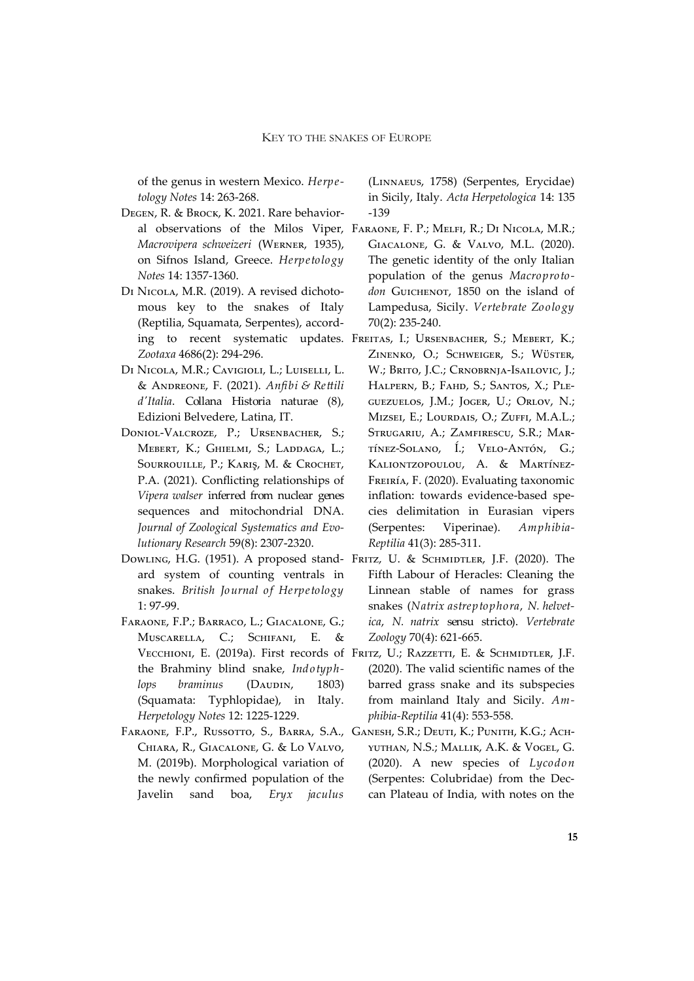of the genus in western Mexico. *Herpetology Notes* 14: 263-268.

- Degen, R. & Brock, K. 2021. Rare behavior-*Macrovipera schweizeri* (Werner, 1935), on Sifnos Island, Greece. *Herpetology Notes* 14: 1357-1360.
- Di Nicola, M.R. (2019). A revised dichotomous key to the snakes of Italy (Reptilia, Squamata, Serpentes), accord-*Zootaxa* 4686(2): 294-296.
- Di Nicola, M.R.; Cavigioli, L.; Luiselli, L. & Andreone, F. (2021). *Anfibi & Rettili d'Italia*. Collana Historia naturae (8), Edizioni Belvedere, Latina, IT.
- Doniol‐Valcroze, P.; Ursenbacher, S.; MEBERT, K.; GHIELMI, S.; LADDAGA, L.; Sourrouille, P.; Kariş, M. & Crochet, P.A. (2021). Conflicting relationships of *Vipera walser* inferred from nuclear genes sequences and mitochondrial DNA. *Journal of Zoological Systematics and Evolutionary Research* 59(8): 2307-2320.
- ard system of counting ventrals in snakes. *British Journal of Herpetology* 1: 97-99.
- Faraone, F.P.; Barraco, L.; Giacalone, G.; Muscarella, C.; Schifani, E. the Brahminy blind snake, *Indotyphlops braminus* (DAUDIN, 1803) (Squamata: Typhlopidae), in Italy. *Herpetology Notes* 12: 1225-1229.
- Faraone, F.P., Russotto, S., Barra, S.A., Ganesh, S.R.; Deuti, K.; Punith, K.G.; Ach-Chiara, R., Giacalone, G. & Lo Valvo, M. (2019b). Morphological variation of the newly confirmed population of the Javelin sand boa, *Eryx jaculus*

(Linnaeus, 1758) (Serpentes, Erycidae) in Sicily, Italy. *Acta Herpetologica* 14: 135 -139

- al observations of the Milos Viper, Faraone, F. P.; Melfi, R.; Di Nicola, M.R.; Giacalone, G. & Valvo, M.L. (2020). The genetic identity of the only Italian population of the genus *Macroproto*don Guichenot, 1850 on the island of Lampedusa, Sicily. *Vertebrate Zoology*  70(2): 235-240.
- ing to recent systematic updates. FREITAS, I.; URSENBACHER, S.; MEBERT, K.; Zinenko, O.; Schweiger, S.; Wüster, W.; Brito, J.C.; Crnobrnja-Isailovic, J.; HALPERN, B.; FAHD, S.; SANTOS, X.; PLEguezuelos, J.M.; Joger, U.; Orlov, N.; Mizsei, E.; Lourdais, O.; Zuffi, M.A.L.; STRUGARIU, A.; ZAMFIRESCU, S.R.; MARtínez-Solano, Í.; Velo-Antón, G.; Kaliontzopoulou, A. & Martínez-Freiría, F. (2020). Evaluating taxonomic inflation: towards evidence-based species delimitation in Eurasian vipers (Serpentes: Viperinae). *Amphibia-Reptilia* 41(3): 285-311.
- Dowling, H.G. (1951). A proposed stand- Fritz, U. & Schmidtler, J.F. (2020). The Fifth Labour of Heracles: Cleaning the Linnean stable of names for grass snakes (*Natrix astreptophora*, *N. helvetica*, *N. natrix* sensu stricto). *Vertebrate Zoology* 70(4): 621-665.
	- Vессніомі, E. (2019a). First records of Fritz, U.; Razzetti, E. & Schmidtler, J.F. (2020). The valid scientific names of the barred grass snake and its subspecies from mainland Italy and Sicily. *Amphibia-Reptilia* 41(4): 553-558.
		- yuthan, N.S.; Mallik, A.K. & Vogel, G. (2020). A new species of *Lycodon* (Serpentes: Colubridae) from the Deccan Plateau of India, with notes on the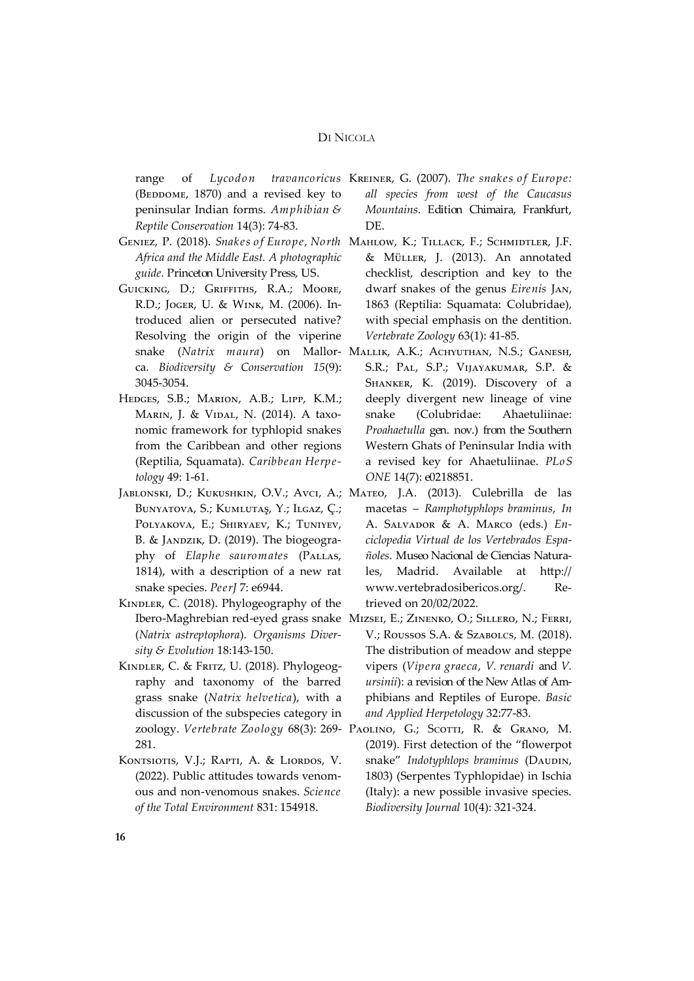( $BEDDOME$ , 1870) and a revised key to peninsular Indian forms. *Amphibian & Reptile Conservation* 14(3): 74-83.

- *Africa and the Middle East. A photographic guide*. Princeton University Press, US.
- Guicking, D.; Griffiths, R.A.; Moore, R.D.; Joger, U. & Wink, M. (2006). Introduced alien or persecuted native? Resolving the origin of the viperine snake (*Natrix maura*) on Mallorca. *Biodiversity & Conservation 15*(9): 3045-3054.
- Hedges, S.B.; Marion, A.B.; Lipp, K.M.; Marin, J. & Vidal, N. (2014). A taxonomic framework for typhlopid snakes from the Caribbean and other regions (Reptilia, Squamata). *Caribbean Herpetology* 49: 1-61.
- Bunyatova, S.; Kumlutaş, Y.; Ilgaz, Ç.; POLYAKOVA, E.; SHIRYAEV, K.; TUNIYEV, B. & JANDZIK, D. (2019). The biogeography of *Elaphe sauromates* (Pallas, 1814), with a description of a new rat snake species. *PeerJ* 7: e6944.
- KINDLER, C. (2018). Phylogeography of the (*Natrix astreptophora*). *Organisms Diversity & Evolution* 18:143-150.
- KINDLER, C. & FRITZ, U. (2018). Phylogeography and taxonomy of the barred grass snake (*Natrix helvetica*), with a discussion of the subspecies category in 281.
- KONTSIOTIS, V.J.; RAPTI, A. & LIORDOS, V. (2022). Public attitudes towards venomous and non-venomous snakes. *Science of the Total Environment* 831: 154918.
- range of *Lycodon travancoricus* Kreiner, G. (2007). *The snakes of Europe: all species from west of the Caucasus Mountains*. Edition Chimaira, Frankfurt, DE.
- Geniez, P. (2018). *Snakes of Europe, North*  Mahlow, K.; Tillack, F.; Schmidtler, J.F. & Müller, J. (2013). An annotated checklist, description and key to the dwarf snakes of the genus *Eirenis* Jan, 1863 (Reptilia: Squamata: Colubridae), with special emphasis on the dentition. *Vertebrate Zoology* 63(1): 41-85.
	- Mallik, A.K.; Achyuthan, N.S.; Ganesh, S.R.; Pal, S.P.; Vijayakumar, S.P. & SHANKER, K. (2019). Discovery of a deeply divergent new lineage of vine snake (Colubridae: Ahaetuliinae: *Proahaetulla* gen. nov.) from the Southern Western Ghats of Peninsular India with a revised key for Ahaetuliinae. *PLoS ONE* 14(7): e0218851.
- Jablonski, D.; Kukushkin, O.V.; Avci, A.; Mateo, J.A. (2013). Culebrilla de las macetas – *Ramphotyphlops braminus*, *In* A. Salvador & A. Marco (eds.) *Enciclopedia Virtual de los Vertebrados Españoles*. Museo Nacional de Ciencias Naturales, Madrid. Available at [http://](http://www.vertebradosibericos.org/) [www.vertebradosibericos.org/.](http://www.vertebradosibericos.org/) Retrieved on 20/02/2022.
	- Ibero-Maghrebian red-eyed grass snake Mizsei, E.; Zinenko, O.; Sillero, N.; Ferri, V.; Roussos S.A. & Szabolcs, M. (2018). The distribution of meadow and steppe vipers (*Vipera graeca*, *V. renardi* and *V. ursinii*): a revision of the New Atlas of Amphibians and Reptiles of Europe. *Basic and Applied Herpetology* 32:77-83.
	- zoology. *Vertebrate Zoology* 68(3): 269- Paolino, G.; Scotti, R. & Grano, M. (2019). First detection of the "flowerpot snake" *Indotyphlops braminus* (DAUDIN, 1803) (Serpentes Typhlopidae) in Ischia (Italy): a new possible invasive species. *Biodiversity Journal* 10(4): 321-324.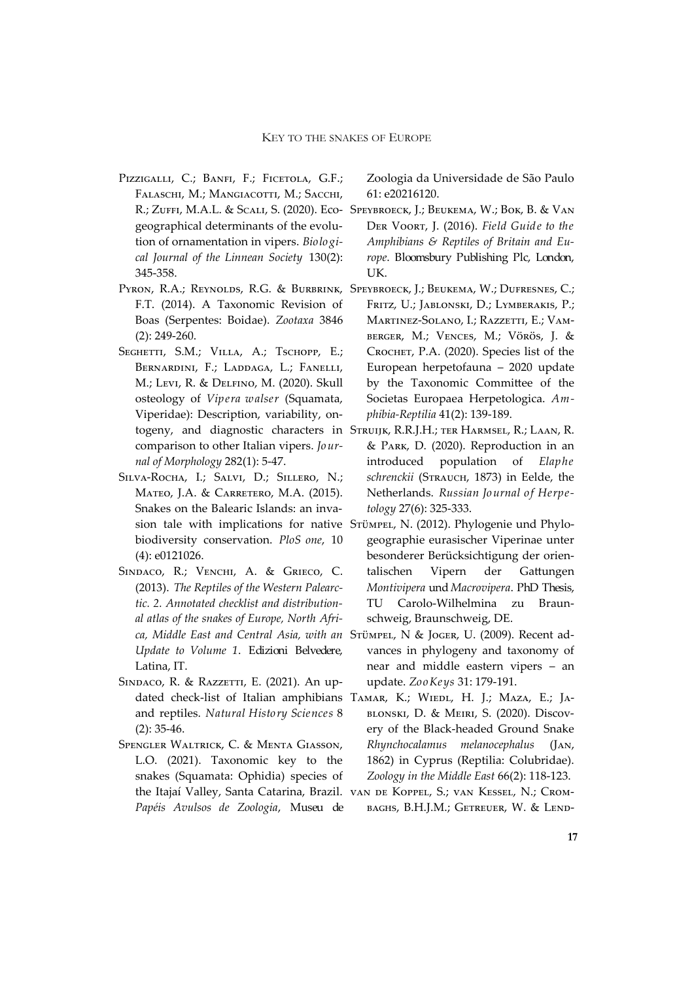- PIZZIGALLI, C.; BANFI, F.; FICETOLA, G.F.; FALASCHI, M.; MANGIACOTTI, M.; SACCHI, geographical determinants of the evolution of ornamentation in vipers. *Biological Journal of the Linnean Society* 130(2): 345-358.
- F.T. (2014). A Taxonomic Revision of Boas (Serpentes: Boidae). *Zootaxa* 3846 (2): 249-260.
- SEGHETTI, S.M.; VILLA, A.; TSCHOPP, E.; Bernardini, F.; Laddaga, L.; Fanelli, M.; Levi, R. & Delfino, M. (2020). Skull osteology of *Vipera walser* (Squamata, Viperidae): Description, variability, oncomparison to other Italian vipers. *Journal of Morphology* 282(1): 5-47.
- Silva-Rocha, I.; Salvi, D.; Sillero, N.; Mateo, J.A. & Carretero, M.A. (2015). Snakes on the Balearic Islands: an invabiodiversity conservation. *PloS one*, 10 (4): e0121026.
- SINDACO, R.; VENCHI, A. & GRIECO, C. (2013). *The Reptiles of the Western Palearctic. 2. Annotated checklist and distributional atlas of the snakes of Europe, North Afri-Update to Volume 1*. Edizioni Belvedere, Latina, IT.
- SINDACO, R. & RAZZETTI, E. (2021). An upand reptiles. *Natural History Sciences* 8 (2): 35-46.
- Spengler Waltrick, C. & Menta Giasson, L.O. (2021). Taxonomic key to the snakes (Squamata: Ophidia) species of *Papéis Avulsos de Zoologia*, Museu de

Zoologia da Universidade de São Paulo 61: e20216120.

- R.; Zuffi, M.A.L. & Scali, S. (2020). Eco-Speybroeck, J.; Beukema, W.; Bok, B. & Van Der Voort, J. (2016). *Field Guide to the Amphibians & Reptiles of Britain and Europe*. Bloomsbury Publishing Plc, London, UK.
- Pyron, R.A.; Reynolds, R.G. & Burbrink, Speybroeck, J.; Beukema, W.; Dufresnes, C.; FRITZ, U.; JABLONSKI, D.; LYMBERAKIS, P.; MARTINEZ-SOLANO, I.; RAZZETTI, E.; VAMberger, M.; Vences, M.; Vörös, J. & Crochet, P.A. (2020). Species list of the European herpetofauna – 2020 update by the Taxonomic Committee of the Societas Europaea Herpetologica. *Amphibia-Reptilia* 41(2): 139-189.
	- togeny, and diagnostic characters in Struijk, R.R.J.H.; ter Harmsel, R.; Laan, R. & Park, D. (2020). Reproduction in an introduced population of *Elaphe schrenckii* (Strauch, 1873) in Eelde, the Netherlands. *Russian Journal of Herpetology* 27(6): 325-333.
	- sion tale with implications for native Srümpel, N. (2012). Phylogenie und Phylogeographie eurasischer Viperinae unter besonderer Berücksichtigung der orientalischen Vipern der Gattungen *Montivipera* und *Macrovipera*. PhD Thesis, TU Carolo-Wilhelmina zu Braunschweig, Braunschweig, DE.
	- *ca, Middle East and Central Asia, with an*  Stümpel, N & Joger, U. (2009). Recent advances in phylogeny and taxonomy of near and middle eastern vipers – an update. *ZooKeys* 31: 179-191.
	- dated check-list of Italian amphibians Тамак, К.; Wiedl, H. J.; Maza, E.; Jаblonski, D. & Meiri, S. (2020). Discovery of the Black-headed Ground Snake *Rhynchocalamus melanocephalus* (Jan, 1862) in Cyprus (Reptilia: Colubridae). *Zoology in the Middle East* 66(2): 118-123.
	- the Itajaí Valley, Santa Catarina, Brazil. van de Koppel, S.; van Kessel, N.; Скомbaghs, B.H.J.M.; Getreuer, W. & Lend-